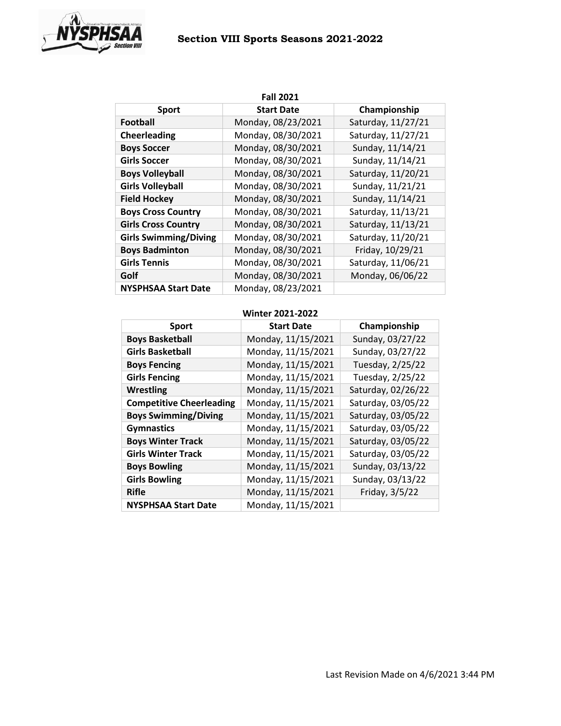# **Section VIII Sports Seasons 2021-2022**



| <b>Fall 2021</b>             |                    |                    |  |
|------------------------------|--------------------|--------------------|--|
| <b>Sport</b>                 | <b>Start Date</b>  | Championship       |  |
| Football                     | Monday, 08/23/2021 | Saturday, 11/27/21 |  |
| <b>Cheerleading</b>          | Monday, 08/30/2021 | Saturday, 11/27/21 |  |
| <b>Boys Soccer</b>           | Monday, 08/30/2021 | Sunday, 11/14/21   |  |
| <b>Girls Soccer</b>          | Monday, 08/30/2021 | Sunday, 11/14/21   |  |
| <b>Boys Volleyball</b>       | Monday, 08/30/2021 | Saturday, 11/20/21 |  |
| <b>Girls Volleyball</b>      | Monday, 08/30/2021 | Sunday, 11/21/21   |  |
| <b>Field Hockey</b>          | Monday, 08/30/2021 | Sunday, 11/14/21   |  |
| <b>Boys Cross Country</b>    | Monday, 08/30/2021 | Saturday, 11/13/21 |  |
| <b>Girls Cross Country</b>   | Monday, 08/30/2021 | Saturday, 11/13/21 |  |
| <b>Girls Swimming/Diving</b> | Monday, 08/30/2021 | Saturday, 11/20/21 |  |
| <b>Boys Badminton</b>        | Monday, 08/30/2021 | Friday, 10/29/21   |  |
| <b>Girls Tennis</b>          | Monday, 08/30/2021 | Saturday, 11/06/21 |  |
| Golf                         | Monday, 08/30/2021 | Monday, 06/06/22   |  |
| <b>NYSPHSAA Start Date</b>   | Monday, 08/23/2021 |                    |  |

## **Winter 2021-2022**

| <b>Sport</b>                    | <b>Start Date</b>  | Championship       |
|---------------------------------|--------------------|--------------------|
| <b>Boys Basketball</b>          | Monday, 11/15/2021 | Sunday, 03/27/22   |
| <b>Girls Basketball</b>         | Monday, 11/15/2021 | Sunday, 03/27/22   |
| <b>Boys Fencing</b>             | Monday, 11/15/2021 | Tuesday, 2/25/22   |
| <b>Girls Fencing</b>            | Monday, 11/15/2021 | Tuesday, 2/25/22   |
| <b>Wrestling</b>                | Monday, 11/15/2021 | Saturday, 02/26/22 |
| <b>Competitive Cheerleading</b> | Monday, 11/15/2021 | Saturday, 03/05/22 |
| <b>Boys Swimming/Diving</b>     | Monday, 11/15/2021 | Saturday, 03/05/22 |
| <b>Gymnastics</b>               | Monday, 11/15/2021 | Saturday, 03/05/22 |
| <b>Boys Winter Track</b>        | Monday, 11/15/2021 | Saturday, 03/05/22 |
| <b>Girls Winter Track</b>       | Monday, 11/15/2021 | Saturday, 03/05/22 |
| <b>Boys Bowling</b>             | Monday, 11/15/2021 | Sunday, 03/13/22   |
| <b>Girls Bowling</b>            | Monday, 11/15/2021 | Sunday, 03/13/22   |
| <b>Rifle</b>                    | Monday, 11/15/2021 | Friday, 3/5/22     |
| <b>NYSPHSAA Start Date</b>      | Monday, 11/15/2021 |                    |